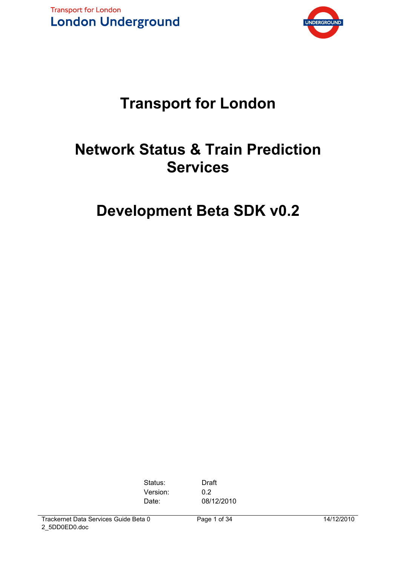



# **Transport for London**

# **Network Status & Train Prediction Services**

# **Development Beta SDK v0.2**

Status: Draft Version: 0.2

Date: 08/12/2010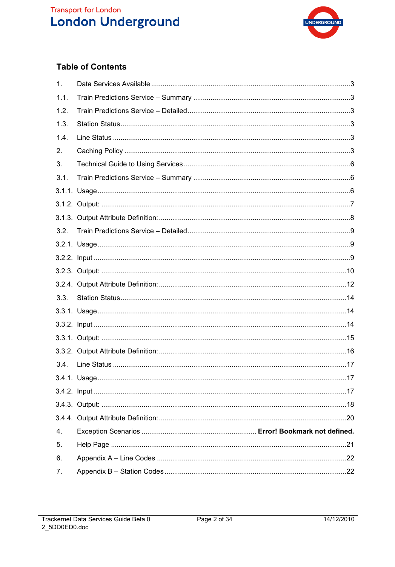# **Transport for London**<br>**London Underground**



# **Table of Contents**

| 1.   |    |
|------|----|
| 1.1. |    |
| 1.2. |    |
| 1.3. |    |
| 1.4. |    |
| 2.   |    |
| 3.   |    |
| 3.1. |    |
|      |    |
|      |    |
|      |    |
| 3.2. |    |
|      |    |
|      |    |
|      |    |
|      |    |
| 3.3. |    |
|      |    |
|      |    |
|      |    |
|      |    |
| 3.4. |    |
|      |    |
|      | 17 |
|      |    |
|      |    |
| 4.   |    |
| 5.   |    |
| 6.   |    |
| 7.   |    |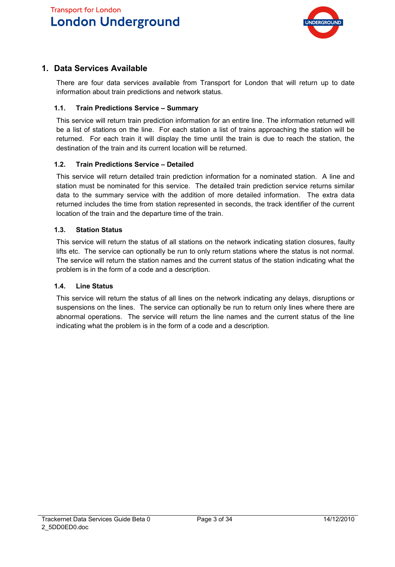**Transport for London London Underground** 



# **1. Data Services Available**

There are four data services available from Transport for London that will return up to date information about train predictions and network status.

#### **1.1. Train Predictions Service – Summary**

This service will return train prediction information for an entire line. The information returned will be a list of stations on the line. For each station a list of trains approaching the station will be returned. For each train it will display the time until the train is due to reach the station, the destination of the train and its current location will be returned.

#### **1.2. Train Predictions Service – Detailed**

This service will return detailed train prediction information for a nominated station. A line and station must be nominated for this service. The detailed train prediction service returns similar data to the summary service with the addition of more detailed information. The extra data returned includes the time from station represented in seconds, the track identifier of the current location of the train and the departure time of the train.

#### **1.3. Station Status**

This service will return the status of all stations on the network indicating station closures, faulty lifts etc. The service can optionally be run to only return stations where the status is not normal. The service will return the station names and the current status of the station indicating what the problem is in the form of a code and a description.

#### **1.4. Line Status**

This service will return the status of all lines on the network indicating any delays, disruptions or suspensions on the lines. The service can optionally be run to return only lines where there are abnormal operations. The service will return the line names and the current status of the line indicating what the problem is in the form of a code and a description.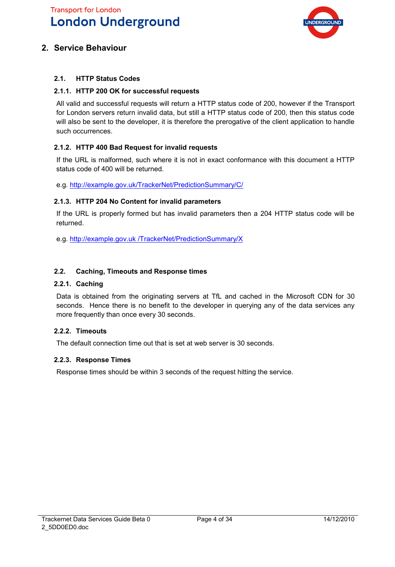# **Transport for London London Underground**



# **2. Service Behaviour**

#### **2.1. HTTP Status Codes**

#### **2.1.1. HTTP 200 OK for successful requests**

All valid and successful requests will return a HTTP status code of 200, however if the Transport for London servers return invalid data, but still a HTTP status code of 200, then this status code will also be sent to the developer, it is therefore the prerogative of the client application to handle such occurrences.

#### **2.1.2. HTTP 400 Bad Request for invalid requests**

If the URL is malformed, such where it is not in exact conformance with this document a HTTP status code of 400 will be returned.

e.g. http://example.gov.uk/TrackerNet/PredictionSummary/C/

#### **2.1.3. HTTP 204 No Content for invalid parameters**

If the URL is properly formed but has invalid parameters then a 204 HTTP status code will be returned.

e.g. http://example.gov.uk /TrackerNet/PredictionSummary/X

#### **2.2. Caching, Timeouts and Response times**

#### **2.2.1. Caching**

Data is obtained from the originating servers at TfL and cached in the Microsoft CDN for 30 seconds. Hence there is no benefit to the developer in querying any of the data services any more frequently than once every 30 seconds.

#### **2.2.2. Timeouts**

The default connection time out that is set at web server is 30 seconds.

#### **2.2.3. Response Times**

Response times should be within 3 seconds of the request hitting the service.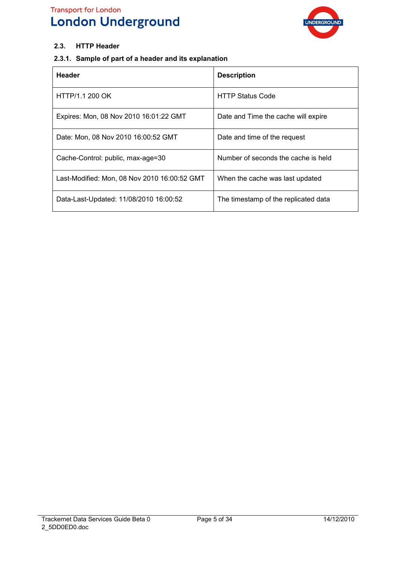# **Transport for London London Underground**



#### **2.3. HTTP Header**

## **2.3.1. Sample of part of a header and its explanation**

| <b>Header</b>                                | <b>Description</b>                   |
|----------------------------------------------|--------------------------------------|
| HTTP/1.1 200 OK                              | <b>HTTP Status Code</b>              |
| Expires: Mon, 08 Nov 2010 16:01:22 GMT       | Date and Time the cache will expire  |
| Date: Mon, 08 Nov 2010 16:00:52 GMT          | Date and time of the request         |
| Cache-Control: public, max-age=30            | Number of seconds the cache is held  |
| Last-Modified: Mon, 08 Nov 2010 16:00:52 GMT | When the cache was last updated      |
| Data-Last-Updated: 11/08/2010 16:00:52       | The timestamp of the replicated data |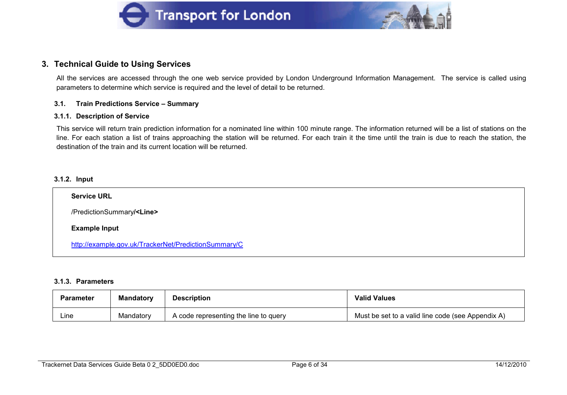



#### **3. Technical Guide to Using Services**

All the services are accessed through the one web service provided by London Underground Information Management. The service is called using parameters to determine which service is required and the level of detail to be returned.

#### **3.1. Train Predictions Service – Summary**

#### **3.1.1. Description of Service**

This service will return train prediction information for a nominated line within 100 minute range. The information returned will be a list of stations on the line. For each station a list of trains approaching the station will be returned. For each train it the time until the train is due to reach the station, the destination of the train and its current location will be returned.

#### **3.1.2. Input**

| <b>Service URL</b>                                   |
|------------------------------------------------------|
| /PredictionSummary/ <line></line>                    |
| <b>Example Input</b>                                 |
| http://example.gov.uk/TrackerNet/PredictionSummary/C |

#### **3.1.3. Parameters**

| Parameter | <b>Mandatory</b> | <b>Description</b>                    | <b>Valid Values</b>                               |
|-----------|------------------|---------------------------------------|---------------------------------------------------|
| ∟ine      | Mandatory        | A code representing the line to query | Must be set to a valid line code (see Appendix A) |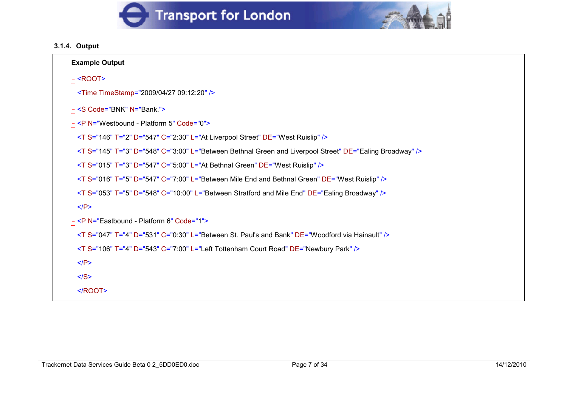



## **3.1.4. Output**

| <b>Example Output</b>                                                                                      |
|------------------------------------------------------------------------------------------------------------|
| $-$ <root></root>                                                                                          |
| <time timestamp="2009/04/27 09:12:20"></time>                                                              |
| - <s code="BNK" n="Bank."></s>                                                                             |
| - <p code="0" n="Westbound - Platform 5"></p>                                                              |
| <t c="2:30" d="547" de="West Ruislip" l="At Liverpool Street" s="146" t="2"></t>                           |
| <t c="3:00" d="548" de="Ealing Broadway" l="Between Bethnal Green and Liverpool Street" s="145" t="3"></t> |
| <t c="5:00" d="547" de="West Ruislip" l="At Bethnal Green" s="015" t="3"></t>                              |
| <t c="7:00" d="547" de="West Ruislip" l="Between Mile End and Bethnal Green" s="016" t="5"></t>            |
| <t c="10:00" d="548" de="Ealing Broadway" l="Between Stratford and Mile End" s="053" t="5"></t>            |
| $<$ /P>                                                                                                    |
| - <p code="1" n="Eastbound - Platform 6"></p>                                                              |
| $\leq$ T S="047" T="4" D="531" C="0:30" L="Between St. Paul's and Bank" DE="Woodford via Hainault" />      |
| <t c="7:00" d="543" de="Newbury Park" l="Left Tottenham Court Road" s="106" t="4"></t>                     |
| $<$ /P>                                                                                                    |
| $<$ /S>                                                                                                    |
| $<$ /ROOT>                                                                                                 |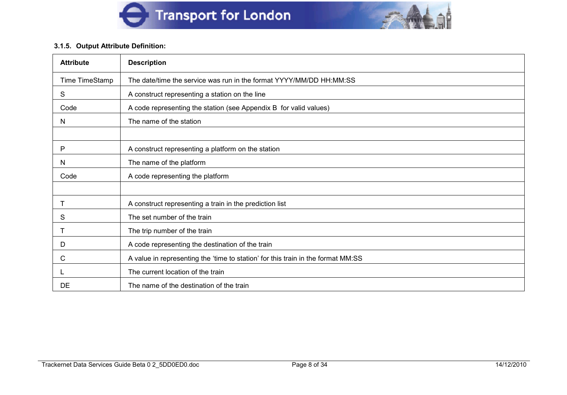



#### **3.1.5. Output Attribute Definition:**

| <b>Attribute</b> | <b>Description</b>                                                               |
|------------------|----------------------------------------------------------------------------------|
| Time TimeStamp   | The date/time the service was run in the format YYYY/MM/DD HH:MM:SS              |
| S                | A construct representing a station on the line                                   |
| Code             | A code representing the station (see Appendix B for valid values)                |
| N                | The name of the station                                                          |
|                  |                                                                                  |
| P                | A construct representing a platform on the station                               |
| N                | The name of the platform                                                         |
| Code             | A code representing the platform                                                 |
|                  |                                                                                  |
|                  | A construct representing a train in the prediction list                          |
| S                | The set number of the train                                                      |
| Т                | The trip number of the train                                                     |
| D                | A code representing the destination of the train                                 |
| С                | A value in representing the 'time to station' for this train in the format MM:SS |
|                  | The current location of the train                                                |
| DE               | The name of the destination of the train                                         |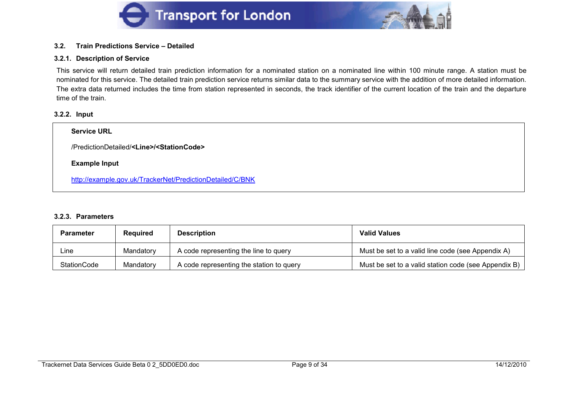



#### **3.2. Train Predictions Service – Detailed**

#### **3.2.1. Description of Service**

This service will return detailed train prediction information for a nominated station on a nominated line within 100 minute range. A station must be nominated for this service. The detailed train prediction service returns similar data to the summary service with the addition of more detailed information. The extra data returned includes the time from station represented in seconds, the track identifier of the current location of the train and the departure time of the train.

#### **3.2.2. Input**

| <b>Service URL</b>                                             |
|----------------------------------------------------------------|
| /PredictionDetailed/ <line>/<stationcode></stationcode></line> |
| <b>Example Input</b>                                           |
| http://example.gov.uk/TrackerNet/PredictionDetailed/C/BNK      |

#### **3.2.3. Parameters**

| <b>Parameter</b> | <b>Required</b> | <b>Description</b>                       | <b>Valid Values</b>                                  |
|------------------|-----------------|------------------------------------------|------------------------------------------------------|
| Line             | Mandatory       | A code representing the line to query    | Must be set to a valid line code (see Appendix A)    |
| StationCode      | Mandatory       | A code representing the station to query | Must be set to a valid station code (see Appendix B) |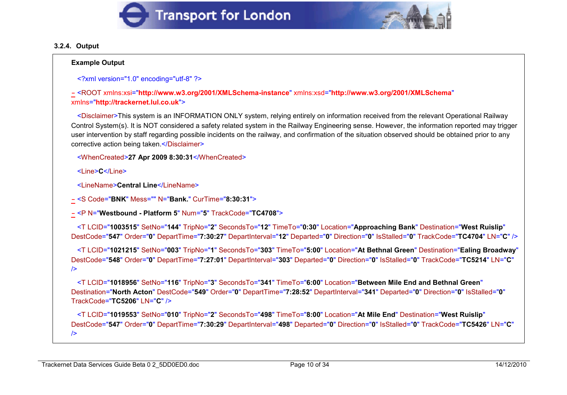



#### **3.2.4. Output**

#### **Example Output**

```
<?xml version="1.0" encoding="utf-8" ?>
```

```
- <ROOT xmlns:xsi="http://www.w3.org/2001/XMLSchema-instance" xmlns:xsd="http://www.w3.org/2001/XMLSchema"
xmlns="http://trackernet.lul.co.uk">
```
<Disclaimer>This system is an INFORMATION ONLY system, relying entirely on information received from the relevant Operational Railway Control System(s). It is NOT considered a safety related system in the Railway Engineering sense. However, the information reported may trigger user intervention by staff regarding possible incidents on the railway, and confirmation of the situation observed should be obtained prior to any corrective action being taken.</Disclaimer>

```
<WhenCreated>27 Apr 2009 8:30:31</WhenCreated>
```

```
<Line>C</Line>
```
<LineName>**Central Line**</LineName>

```
- <S Code="BNK" Mess="" N="Bank." CurTime="8:30:31">
```

```
- <P N="Westbound - Platform 5" Num="5" TrackCode="TC4708">
```

```
<T LCID="1003515" SetNo="144" TripNo="2" SecondsTo="12" TimeTo="0:30" Location="Approaching Bank" Destination="West Ruislip"
DestCode="547" Order="0" DepartTime="7:30:27" DepartInterval="12" Departed="0" Direction="0" IsStalled="0" TrackCode="TC4704" LN="C" />
```

```
<T LCID="1021215" SetNo="003" TripNo="1" SecondsTo="303" TimeTo="5:00" Location="At Bethnal Green" Destination="Ealing Broadway"
DestCode="548" Order="0" DepartTime="7:27:01" DepartInterval="303" Departed="0" Direction="0" IsStalled="0" TrackCode="TC5214" LN="C"
/
```
<T LCID="**1018956**" SetNo="**116**" TripNo="**3**" SecondsTo="**341**" TimeTo="**6:00**" Location="**Between Mile End and Bethnal Green**" Destination="**North Acton**" DestCode="**549**" Order="**0**" DepartTime="**7:28:52**" DepartInterval="**341**" Departed="**0**" Direction="**0**" IsStalled="**0**" TrackCode="**TC5206**" LN="**C**" />

<T LCID="**1019553**" SetNo="**010**" TripNo="**2**" SecondsTo="**498**" TimeTo="**8:00**" Location="**At Mile End**" Destination="**West Ruislip**" DestCode="**547**" Order="**0**" DepartTime="**7:30:29**" DepartInterval="**498**" Departed="**0**" Direction="**0**" IsStalled="**0**" TrackCode="**TC5426**" LN="**C**"  $\rightarrow$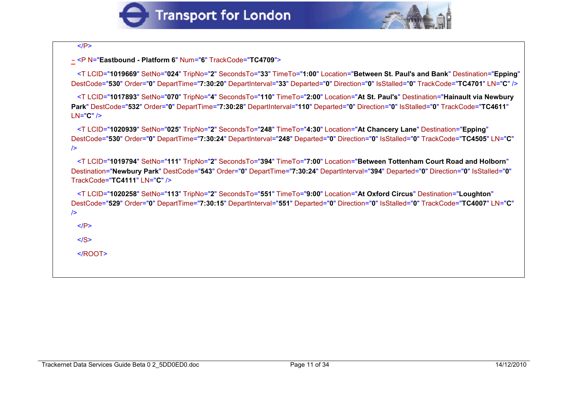



**-** <P N="**Eastbound - Platform 6**" Num="**6**" TrackCode="**TC4709**">

<T LCID="**1019669**" SetNo="**024**" TripNo="**2**" SecondsTo="**33**" TimeTo="**1:00**" Location="**Between St. Paul's and Bank**" Destination="**Epping**" DestCode="**530**" Order="**0**" DepartTime="**7:30:20**" DepartInterval="**33**" Departed="**0**" Direction="**0**" IsStalled="**0**" TrackCode="**TC4701**" LN="**C**" />

<T LCID="**1017893**" SetNo="**070**" TripNo="**4**" SecondsTo="**110**" TimeTo="**2:00**" Location="**At St. Paul's**" Destination="**Hainault via Newbury Park**" DestCode="**532**" Order="**0**" DepartTime="**7:30:28**" DepartInterval="**110**" Departed="**0**" Direction="**0**" IsStalled="**0**" TrackCode="**TC4611**" LN="**C**" />

<T LCID="**1020939**" SetNo="**025**" TripNo="**2**" SecondsTo="**248**" TimeTo="**4:30**" Location="**At Chancery Lane**" Destination="**Epping**" DestCode="**530**" Order="**0**" DepartTime="**7:30:24**" DepartInterval="**248**" Departed="**0**" Direction="**0**" IsStalled="**0**" TrackCode="**TC4505**" LN="**C**"  $/$ 

<T LCID="**1019794**" SetNo="**111**" TripNo="**2**" SecondsTo="**394**" TimeTo="**7:00**" Location="**Between Tottenham Court Road and Holborn**" Destination="**Newbury Park**" DestCode="**543**" Order="**0**" DepartTime="**7:30:24**" DepartInterval="**394**" Departed="**0**" Direction="**0**" IsStalled="**0**" TrackCode="**TC4111**" LN="**C**" />

<T LCID="**1020258**" SetNo="**113**" TripNo="**2**" SecondsTo="**551**" TimeTo="**9:00**" Location="**At Oxford Circus**" Destination="**Loughton**" DestCode="**529**" Order="**0**" DepartTime="**7:30:15**" DepartInterval="**551**" Departed="**0**" Direction="**0**" IsStalled="**0**" TrackCode="**TC4007**" LN="**C**"  $/$ 

 $<$ / $P$ >

 $<$ /S $>$ 

</ROOT>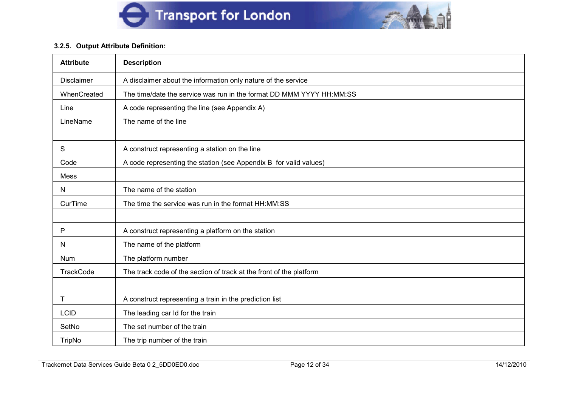

#### **3.2.5. Output Attribute Definition:**

| <b>Attribute</b>  | <b>Description</b>                                                   |
|-------------------|----------------------------------------------------------------------|
| <b>Disclaimer</b> | A disclaimer about the information only nature of the service        |
| WhenCreated       | The time/date the service was run in the format DD MMM YYYY HH:MM:SS |
| Line              | A code representing the line (see Appendix A)                        |
| LineName          | The name of the line                                                 |
|                   |                                                                      |
| S                 | A construct representing a station on the line                       |
| Code              | A code representing the station (see Appendix B for valid values)    |
| Mess              |                                                                      |
| N                 | The name of the station                                              |
| CurTime           | The time the service was run in the format HH:MM:SS                  |
|                   |                                                                      |
| P                 | A construct representing a platform on the station                   |
| N                 | The name of the platform                                             |
| Num               | The platform number                                                  |
| <b>TrackCode</b>  | The track code of the section of track at the front of the platform  |
|                   |                                                                      |
| Τ                 | A construct representing a train in the prediction list              |
| <b>LCID</b>       | The leading car Id for the train                                     |
| SetNo             | The set number of the train                                          |
| <b>TripNo</b>     | The trip number of the train                                         |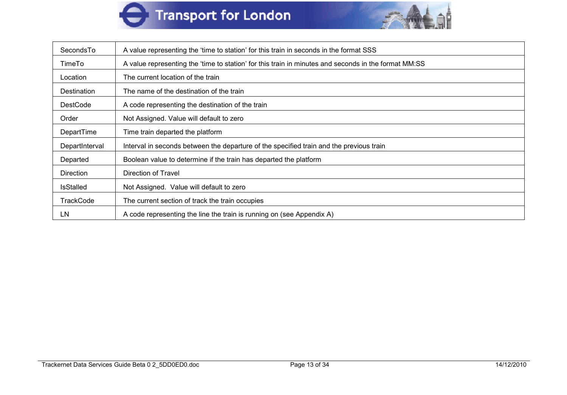



| SecondsTo        | A value representing the 'time to station' for this train in seconds in the format SSS               |
|------------------|------------------------------------------------------------------------------------------------------|
| TimeTo           | A value representing the 'time to station' for this train in minutes and seconds in the format MM:SS |
| Location         | The current location of the train                                                                    |
| Destination      | The name of the destination of the train                                                             |
| <b>DestCode</b>  | A code representing the destination of the train                                                     |
| Order            | Not Assigned. Value will default to zero                                                             |
| DepartTime       | Time train departed the platform                                                                     |
| DepartInterval   | Interval in seconds between the departure of the specified train and the previous train              |
| Departed         | Boolean value to determine if the train has departed the platform                                    |
| <b>Direction</b> | Direction of Travel                                                                                  |
| <b>IsStalled</b> | Not Assigned. Value will default to zero                                                             |
| <b>TrackCode</b> | The current section of track the train occupies                                                      |
| LN               | A code representing the line the train is running on (see Appendix A)                                |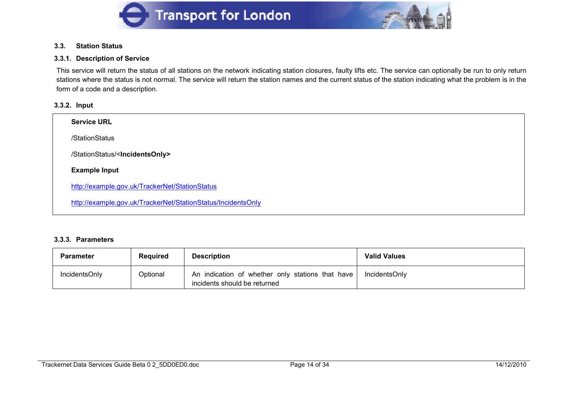



#### **3.3. Station Status**

#### **3.3.1. Description of Service**

This service will return the status of all stations on the network indicating station closures, faulty lifts etc. The service can optionally be run to only return stations where the status is not normal. The service will return the station names and the current status of the station indicating what the problem is in the form of a code and a description.

#### **3.3.2. Input**

| <b>Service URL</b>                                           |  |
|--------------------------------------------------------------|--|
| /StationStatus                                               |  |
| /StationStatus/ <incidentsonly></incidentsonly>              |  |
| <b>Example Input</b>                                         |  |
| http://example.gov.uk/TrackerNet/StationStatus               |  |
| http://example.gov.uk/TrackerNet/StationStatus/IncidentsOnly |  |

#### **3.3.3. Parameters**

| Parameter            | <b>Required</b> | <b>Description</b>                                                               | <b>Valid Values</b> |
|----------------------|-----------------|----------------------------------------------------------------------------------|---------------------|
| <b>IncidentsOnly</b> | Optional        | An indication of whether only stations that have<br>incidents should be returned | IncidentsOnly       |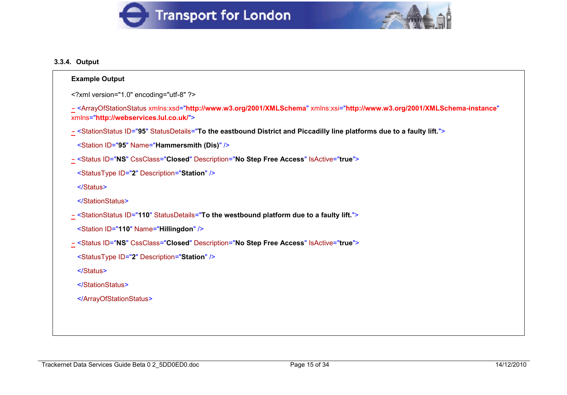



## **3.3.4. Output**

| xml version="1.0" encoding="utf-8" ?   |                                                                                                                                                               |
|----------------------------------------|---------------------------------------------------------------------------------------------------------------------------------------------------------------|
| xmlns="http://webservices.lul.co.uk/"> | - <arrayofstationstatus <="" td="" xmlns:xsd="http://www.w3.org/2001/XMLSchema" xmlns:xsi="http://www.w3.org/2001/XMLSchema-instance"></arrayofstationstatus> |
|                                        | - <stationstatus id="95" statusdetails="To the eastbound District and Piccadilly line platforms due to a faulty lift."></stationstatus>                       |
|                                        | <station id="95" name="Hammersmith (Dis)"></station>                                                                                                          |
|                                        | - <status cssclass="Closed" description="No Step Free Access" id="NS" isactive="true"></status>                                                               |
|                                        | <statustype description="Station" id="2"></statustype>                                                                                                        |
|                                        |                                                                                                                                                               |
|                                        |                                                                                                                                                               |
|                                        | - <stationstatus id="110" statusdetails="To the westbound platform due to a faulty lift."></stationstatus>                                                    |
|                                        | <station id="110" name="Hillingdon"></station>                                                                                                                |
|                                        | - <status cssclass="Closed" description="No Step Free Access" id="NS" isactive="true"></status>                                                               |
|                                        | <statustype description="Station" id="2"></statustype>                                                                                                        |
|                                        |                                                                                                                                                               |
|                                        |                                                                                                                                                               |
|                                        |                                                                                                                                                               |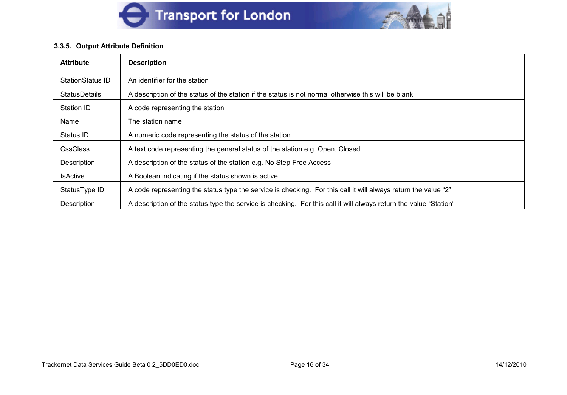



#### **3.3.5. Output Attribute Definition**

| <b>Attribute</b>     | <b>Description</b>                                                                                                |  |
|----------------------|-------------------------------------------------------------------------------------------------------------------|--|
| StationStatus ID     | An identifier for the station                                                                                     |  |
| <b>StatusDetails</b> | A description of the status of the station if the status is not normal otherwise this will be blank               |  |
| Station ID           | A code representing the station                                                                                   |  |
| Name                 | The station name                                                                                                  |  |
| Status ID            | A numeric code representing the status of the station                                                             |  |
| <b>CssClass</b>      | A text code representing the general status of the station e.g. Open, Closed                                      |  |
| Description          | A description of the status of the station e.g. No Step Free Access                                               |  |
| <b>IsActive</b>      | A Boolean indicating if the status shown is active                                                                |  |
| StatusType ID        | A code representing the status type the service is checking. For this call it will always return the value "2"    |  |
| Description          | A description of the status type the service is checking. For this call it will always return the value "Station" |  |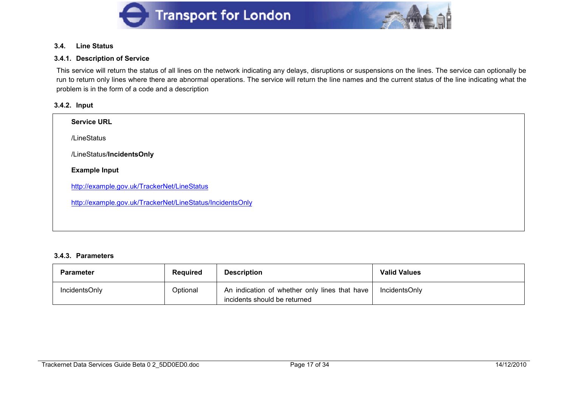



#### **3.4. Line Status**

#### **3.4.1. Description of Service**

This service will return the status of all lines on the network indicating any delays, disruptions or suspensions on the lines. The service can optionally be run to return only lines where there are abnormal operations. The service will return the line names and the current status of the line indicating what the problem is in the form of a code and a description

#### **3.4.2. Input**

| <b>Service URL</b>                                        |  |  |
|-----------------------------------------------------------|--|--|
| /LineStatus                                               |  |  |
| /LineStatus/IncidentsOnly                                 |  |  |
| <b>Example Input</b>                                      |  |  |
| http://example.gov.uk/TrackerNet/LineStatus               |  |  |
| http://example.gov.uk/TrackerNet/LineStatus/IncidentsOnly |  |  |
|                                                           |  |  |

#### **3.4.3. Parameters**

| <b>Parameter</b> | Reauired | <b>Description</b>                                                            | <b>Valid Values</b> |
|------------------|----------|-------------------------------------------------------------------------------|---------------------|
| IncidentsOnly    | Optional | An indication of whether only lines that have<br>incidents should be returned | IncidentsOnly       |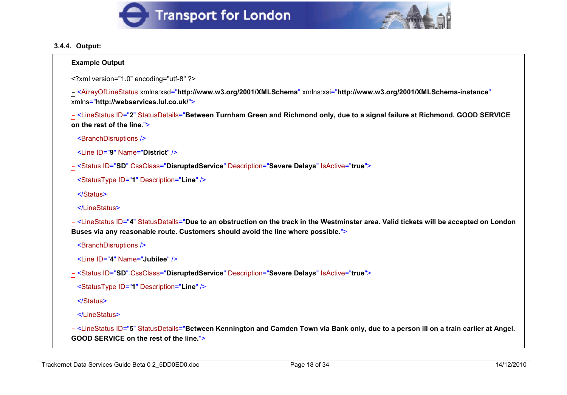



#### **3.4.4. Output:**

#### **Example Output**

```
<?xml version="1.0" encoding="utf-8" ?>
```
**-** <ArrayOfLineStatus xmlns:xsd="**http://www.w3.org/2001/XMLSchema**" xmlns:xsi="**http://www.w3.org/2001/XMLSchema-instance**" xmlns="**http://webservices.lul.co.uk/**">

**-** <LineStatus ID="**2**" StatusDetails="**Between Turnham Green and Richmond only, due to a signal failure at Richmond. GOOD SERVICE on the rest of the line.**">

```
<BranchDisruptions />
```

```
<Line ID="9" Name="District" />
```
**-** <Status ID="**SD**" CssClass="**DisruptedService**" Description="**Severe Delays**" IsActive="**true**">

```
<StatusType ID="1" Description="Line" />
```
</Status>

```
</LineStatus>
```
**-** <LineStatus ID="**4**" StatusDetails="**Due to an obstruction on the track in the Westminster area. Valid tickets will be accepted on London Buses via any reasonable route. Customers should avoid the line where possible.**">

```
<BranchDisruptions />
```

```
<Line ID="4" Name="Jubilee" />
```
**-** <Status ID="**SD**" CssClass="**DisruptedService**" Description="**Severe Delays**" IsActive="**true**">

```
<StatusType ID="1" Description="Line" />
```
</Status>

</LineStatus>

**-** <LineStatus ID="**5**" StatusDetails="**Between Kennington and Camden Town via Bank only, due to a person ill on a train earlier at Angel. GOOD SERVICE on the rest of the line.**">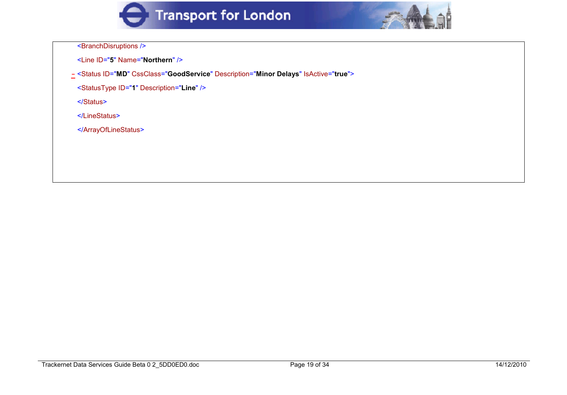



<BranchDisruptions />

- <Line ID="**5**" Name="**Northern**" />
- **-** <Status ID="**MD**" CssClass="**GoodService**" Description="**Minor Delays**" IsActive="**true**">
- <StatusType ID="**1**" Description="**Line**" />
- </Status>
- </LineStatus>
- </ArrayOfLineStatus>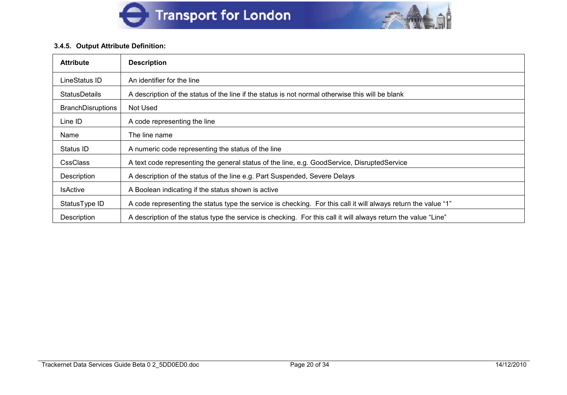



#### **3.4.5. Output Attribute Definition:**

| <b>Attribute</b>         | <b>Description</b>                                                                                             |  |
|--------------------------|----------------------------------------------------------------------------------------------------------------|--|
| LineStatus ID            | An identifier for the line                                                                                     |  |
| <b>StatusDetails</b>     | A description of the status of the line if the status is not normal otherwise this will be blank               |  |
| <b>BranchDisruptions</b> | Not Used                                                                                                       |  |
| Line ID                  | A code representing the line                                                                                   |  |
| Name                     | The line name                                                                                                  |  |
| Status ID                | A numeric code representing the status of the line                                                             |  |
| <b>CssClass</b>          | A text code representing the general status of the line, e.g. GoodService, DisruptedService                    |  |
| Description              | A description of the status of the line e.g. Part Suspended, Severe Delays                                     |  |
| <b>IsActive</b>          | A Boolean indicating if the status shown is active                                                             |  |
| StatusType ID            | A code representing the status type the service is checking. For this call it will always return the value "1" |  |
| Description              | A description of the status type the service is checking. For this call it will always return the value "Line" |  |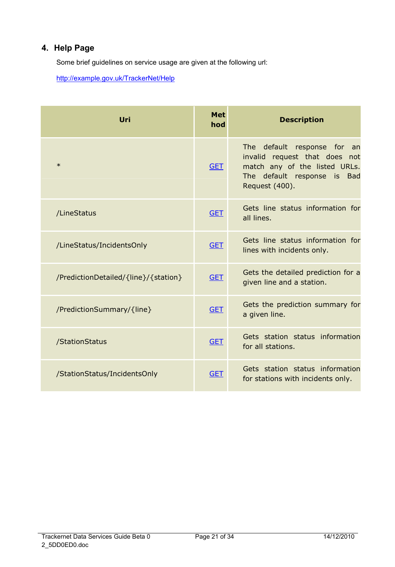# **4. Help Page**

Some brief guidelines on service usage are given at the following url:

http://example.gov.uk/TrackerNet/Help

| Uri                                  | <b>Met</b><br>hod | <b>Description</b>                                                                                                                                   |
|--------------------------------------|-------------------|------------------------------------------------------------------------------------------------------------------------------------------------------|
| $\ast$                               | <b>GET</b>        | The default response for<br>an an<br>invalid request that does not<br>match any of the listed URLs.<br>The default response is Bad<br>Request (400). |
| /LineStatus                          | <b>GET</b>        | Gets line status information for<br>all lines.                                                                                                       |
| /LineStatus/IncidentsOnly            | <b>GET</b>        | Gets line status information for<br>lines with incidents only.                                                                                       |
| /PredictionDetailed/{line}/{station} | <b>GET</b>        | Gets the detailed prediction for a<br>given line and a station.                                                                                      |
| /PredictionSummary/{line}            | <b>GET</b>        | Gets the prediction summary for<br>a given line.                                                                                                     |
| /StationStatus                       | <b>GET</b>        | Gets station status information<br>for all stations.                                                                                                 |
| /StationStatus/IncidentsOnly         | <b>GET</b>        | Gets station status information<br>for stations with incidents only.                                                                                 |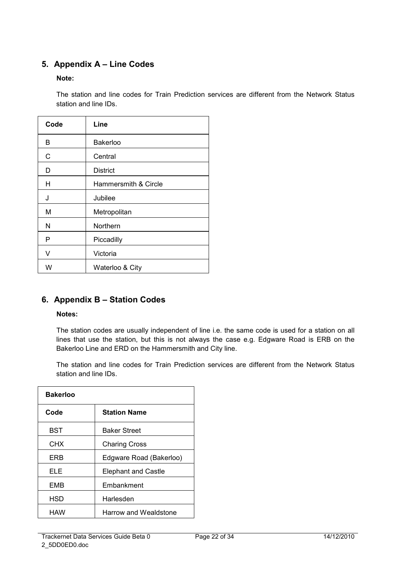# **5. Appendix A – Line Codes**

#### **Note:**

The station and line codes for Train Prediction services are different from the Network Status station and line IDs.

| Code | Line                 |
|------|----------------------|
| В    | <b>Bakerloo</b>      |
| С    | Central              |
| D    | <b>District</b>      |
| Н    | Hammersmith & Circle |
| J    | Jubilee              |
| M    | Metropolitan         |
| N    | Northern             |
| P    | Piccadilly           |
| V    | Victoria             |
| W    | Waterloo & City      |

# **6. Appendix B – Station Codes**

#### **Notes:**

The station codes are usually independent of line i.e. the same code is used for a station on all lines that use the station, but this is not always the case e.g. Edgware Road is ERB on the Bakerloo Line and ERD on the Hammersmith and City line.

The station and line codes for Train Prediction services are different from the Network Status station and line IDs.

| <b>Bakerloo</b> |                              |  |
|-----------------|------------------------------|--|
| Code            | <b>Station Name</b>          |  |
| <b>BST</b>      | <b>Baker Street</b>          |  |
| CHX             | <b>Charing Cross</b>         |  |
| <b>FRB</b>      | Edgware Road (Bakerloo)      |  |
| ELE             | <b>Elephant and Castle</b>   |  |
| <b>FMB</b>      | Embankment                   |  |
| HSD             | Harlesden                    |  |
| HAW             | <b>Harrow and Wealdstone</b> |  |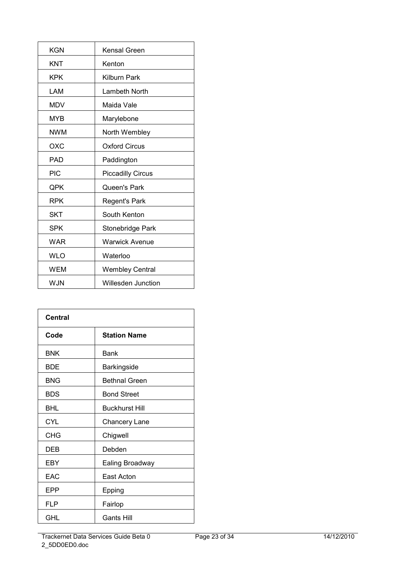| <b>KGN</b> | Kensal Green             |
|------------|--------------------------|
| KNT        | Kenton                   |
| KPK        | Kilburn Park             |
| LAM        | Lambeth North            |
| MDV        | Maida Vale               |
| <b>MYB</b> | Marylebone               |
| <b>NWM</b> | North Wembley            |
| OXC        | <b>Oxford Circus</b>     |
| <b>PAD</b> | Paddington               |
| <b>PIC</b> | <b>Piccadilly Circus</b> |
| QPK        | Queen's Park             |
| <b>RPK</b> | Regent's Park            |
| <b>SKT</b> | South Kenton             |
| SPK        | Stonebridge Park         |
| WAR        | Warwick Avenue           |
| WLO        | Waterloo                 |
| <b>WEM</b> | <b>Wembley Central</b>   |
| <b>WJN</b> | Willesden Junction       |

| Central    |                       |  |
|------------|-----------------------|--|
| Code       | <b>Station Name</b>   |  |
| <b>BNK</b> | <b>Bank</b>           |  |
| <b>BDE</b> | <b>Barkingside</b>    |  |
| <b>BNG</b> | <b>Bethnal Green</b>  |  |
| <b>BDS</b> | <b>Bond Street</b>    |  |
| BHL        | <b>Buckhurst Hill</b> |  |
| <b>CYL</b> | <b>Chancery Lane</b>  |  |
| <b>CHG</b> | Chigwell              |  |
| <b>DEB</b> | Debden                |  |
| EBY        | Ealing Broadway       |  |
| EAC        | East Acton            |  |
| <b>EPP</b> | Epping                |  |
| <b>FLP</b> | Fairlop               |  |
| GHL        | Gants Hill            |  |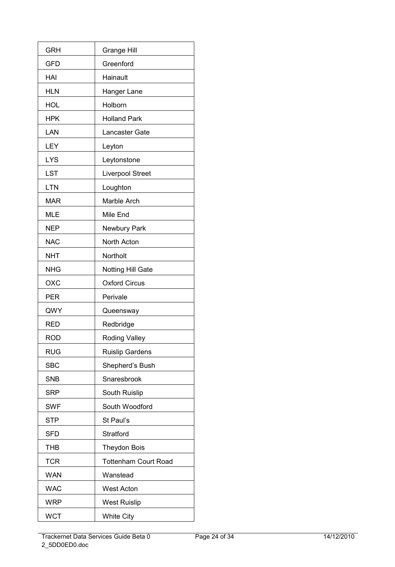| <b>GRH</b> | <b>Grange Hill</b>          |
|------------|-----------------------------|
| <b>GFD</b> | Greenford                   |
| HAI        | Hainault                    |
| <b>HLN</b> | Hanger Lane                 |
| HOL        | Holborn                     |
| <b>HPK</b> | <b>Holland Park</b>         |
| LAN        | Lancaster Gate              |
| LEY        | Leyton                      |
| <b>LYS</b> | Leytonstone                 |
| LST        | <b>Liverpool Street</b>     |
| <b>LTN</b> | Loughton                    |
| <b>MAR</b> | Marble Arch                 |
| <b>MLE</b> | Mile End                    |
| <b>NEP</b> | Newbury Park                |
| <b>NAC</b> | North Acton                 |
| <b>NHT</b> | Northolt                    |
| <b>NHG</b> | Notting Hill Gate           |
| OXC        | <b>Oxford Circus</b>        |
| PER        | Perivale                    |
| QWY        | Queensway                   |
| <b>RED</b> | Redbridge                   |
| <b>ROD</b> | <b>Roding Valley</b>        |
| RUG        | Ruislip Gardens             |
| SBC        | Shepherd's Bush             |
| <b>SNB</b> | Snaresbrook                 |
| <b>SRP</b> | South Ruislip               |
| <b>SWF</b> | South Woodford              |
| <b>STP</b> | St Paul's                   |
| <b>SFD</b> | Stratford                   |
| <b>THB</b> | <b>Theydon Bois</b>         |
| <b>TCR</b> | <b>Tottenham Court Road</b> |
| <b>WAN</b> | Wanstead                    |
| <b>WAC</b> | <b>West Acton</b>           |
| <b>WRP</b> | <b>West Ruislip</b>         |
| <b>WCT</b> | <b>White City</b>           |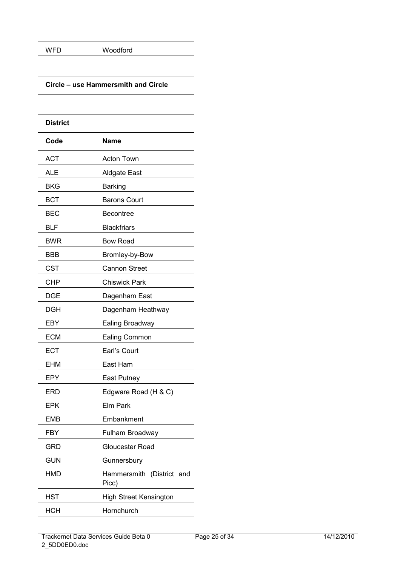| Woodford<br>WFD |
|-----------------|
|-----------------|

#### **Circle – use Hammersmith and Circle**

| <b>District</b> |                                    |
|-----------------|------------------------------------|
| Code            | Name                               |
| <b>ACT</b>      | <b>Acton Town</b>                  |
| <b>ALE</b>      | Aldgate East                       |
| BKG             | <b>Barking</b>                     |
| <b>BCT</b>      | <b>Barons Court</b>                |
| <b>BEC</b>      | <b>Becontree</b>                   |
| BLF             | <b>Blackfriars</b>                 |
| <b>BWR</b>      | <b>Bow Road</b>                    |
| <b>BBB</b>      | Bromley-by-Bow                     |
| <b>CST</b>      | <b>Cannon Street</b>               |
| <b>CHP</b>      | <b>Chiswick Park</b>               |
| <b>DGE</b>      | Dagenham East                      |
| <b>DGH</b>      | Dagenham Heathway                  |
| EBY             | Ealing Broadway                    |
| <b>ECM</b>      | Ealing Common                      |
| <b>ECT</b>      | Earl's Court                       |
| <b>EHM</b>      | East Ham                           |
| EPY             | East Putney                        |
| <b>ERD</b>      | Edgware Road (H & C)               |
| <b>EPK</b>      | Elm Park                           |
| <b>EMB</b>      | Embankment                         |
| <b>FBY</b>      | Fulham Broadway                    |
| <b>GRD</b>      | Gloucester Road                    |
| <b>GUN</b>      | Gunnersbury                        |
| <b>HMD</b>      | Hammersmith (District and<br>Picc) |
| <b>HST</b>      | <b>High Street Kensington</b>      |
| <b>HCH</b>      | Hornchurch                         |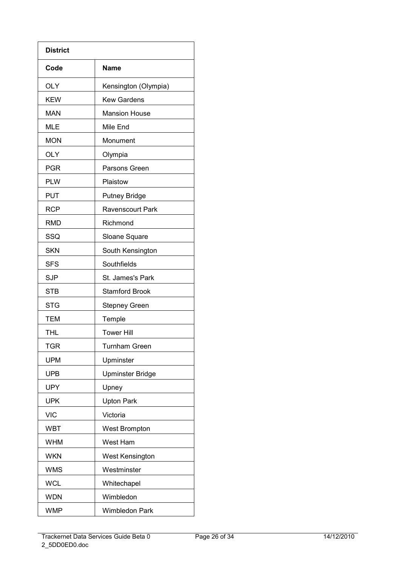| <b>District</b> |                         |
|-----------------|-------------------------|
| Code            | <b>Name</b>             |
| <b>OLY</b>      | Kensington (Olympia)    |
| <b>KEW</b>      | <b>Kew Gardens</b>      |
| <b>MAN</b>      | <b>Mansion House</b>    |
| <b>MLE</b>      | Mile End                |
| <b>MON</b>      | Monument                |
| <b>OLY</b>      | Olympia                 |
| <b>PGR</b>      | Parsons Green           |
| <b>PLW</b>      | Plaistow                |
| <b>PUT</b>      | <b>Putney Bridge</b>    |
| <b>RCP</b>      | <b>Ravenscourt Park</b> |
| <b>RMD</b>      | Richmond                |
| SSQ             | Sloane Square           |
| <b>SKN</b>      | South Kensington        |
| <b>SFS</b>      | Southfields             |
| <b>SJP</b>      | St. James's Park        |
| <b>STB</b>      | <b>Stamford Brook</b>   |
| <b>STG</b>      | <b>Stepney Green</b>    |
| <b>TEM</b>      | Temple                  |
| <b>THL</b>      | <b>Tower Hill</b>       |
| <b>TGR</b>      | Turnham Green           |
| <b>UPM</b>      | Upminster               |
| <b>UPB</b>      | <b>Upminster Bridge</b> |
| <b>UPY</b>      | Upney                   |
| <b>UPK</b>      | <b>Upton Park</b>       |
| <b>VIC</b>      | Victoria                |
| <b>WBT</b>      | <b>West Brompton</b>    |
| <b>WHM</b>      | West Ham                |
| <b>WKN</b>      | <b>West Kensington</b>  |
| <b>WMS</b>      | Westminster             |
| <b>WCL</b>      | Whitechapel             |
| <b>WDN</b>      | Wimbledon               |
| <b>WMP</b>      | <b>Wimbledon Park</b>   |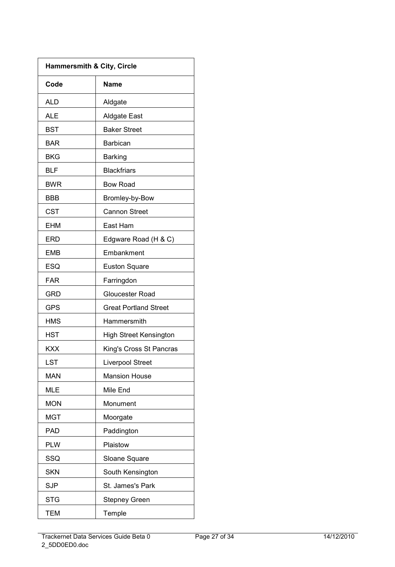| <b>Hammersmith &amp; City, Circle</b> |                               |
|---------------------------------------|-------------------------------|
| Code                                  | Name                          |
| ALD                                   | Aldgate                       |
| <b>ALE</b>                            | <b>Aldgate East</b>           |
| BST                                   | <b>Baker Street</b>           |
| <b>BAR</b>                            | <b>Barbican</b>               |
| <b>BKG</b>                            | <b>Barking</b>                |
| BLF                                   | <b>Blackfriars</b>            |
| <b>BWR</b>                            | <b>Bow Road</b>               |
| BBB                                   | Bromley-by-Bow                |
| <b>CST</b>                            | <b>Cannon Street</b>          |
| <b>EHM</b>                            | East Ham                      |
| <b>ERD</b>                            | Edgware Road (H & C)          |
| <b>EMB</b>                            | Embankment                    |
| <b>ESQ</b>                            | <b>Euston Square</b>          |
| <b>FAR</b>                            | Farringdon                    |
| GRD                                   | <b>Gloucester Road</b>        |
| <b>GPS</b>                            | <b>Great Portland Street</b>  |
| HMS                                   | Hammersmith                   |
| HST                                   | <b>High Street Kensington</b> |
| KXX                                   | King's Cross St Pancras       |
| LST                                   | <b>Liverpool Street</b>       |
| <b>MAN</b>                            | <b>Mansion House</b>          |
| <b>MLE</b>                            | Mile End                      |
| <b>MON</b>                            | Monument                      |
| <b>MGT</b>                            | Moorgate                      |
| <b>PAD</b>                            | Paddington                    |
| <b>PLW</b>                            | Plaistow                      |
| SSQ                                   | Sloane Square                 |
| <b>SKN</b>                            | South Kensington              |
| <b>SJP</b>                            | St. James's Park              |
| STG                                   | <b>Stepney Green</b>          |
| <b>TEM</b>                            | Temple                        |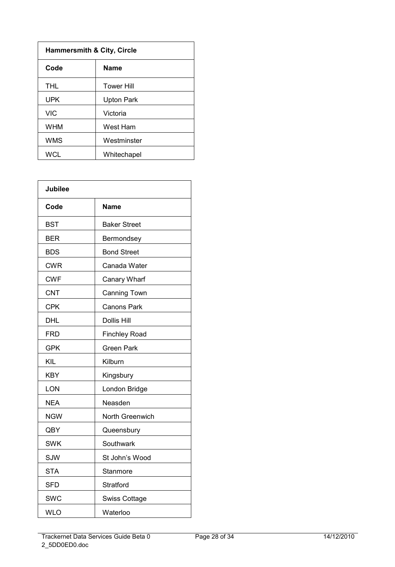| <b>Hammersmith &amp; City, Circle</b> |                   |
|---------------------------------------|-------------------|
| Code                                  | <b>Name</b>       |
| <b>THL</b>                            | <b>Tower Hill</b> |
| <b>UPK</b>                            | Upton Park        |
| <b>VIC</b>                            | Victoria          |
| <b>WHM</b>                            | West Ham          |
| <b>WMS</b>                            | Westminster       |
| WCL                                   | Whitechapel       |

| <b>Jubilee</b> |                      |
|----------------|----------------------|
| Code           | <b>Name</b>          |
| <b>BST</b>     | <b>Baker Street</b>  |
| <b>BER</b>     | Bermondsey           |
| <b>BDS</b>     | <b>Bond Street</b>   |
| <b>CWR</b>     | Canada Water         |
| <b>CWF</b>     | Canary Wharf         |
| <b>CNT</b>     | <b>Canning Town</b>  |
| <b>CPK</b>     | <b>Canons Park</b>   |
| <b>DHL</b>     | <b>Dollis Hill</b>   |
| <b>FRD</b>     | <b>Finchley Road</b> |
| <b>GPK</b>     | <b>Green Park</b>    |
| KIL            | Kilburn              |
| <b>KBY</b>     | Kingsbury            |
| LON            | London Bridge        |
| <b>NEA</b>     | Neasden              |
| <b>NGW</b>     | North Greenwich      |
| QBY            | Queensbury           |
| <b>SWK</b>     | Southwark            |
| <b>SJW</b>     | St John's Wood       |
| <b>STA</b>     | Stanmore             |
| <b>SFD</b>     | Stratford            |
| <b>SWC</b>     | <b>Swiss Cottage</b> |
| <b>WLO</b>     | Waterloo             |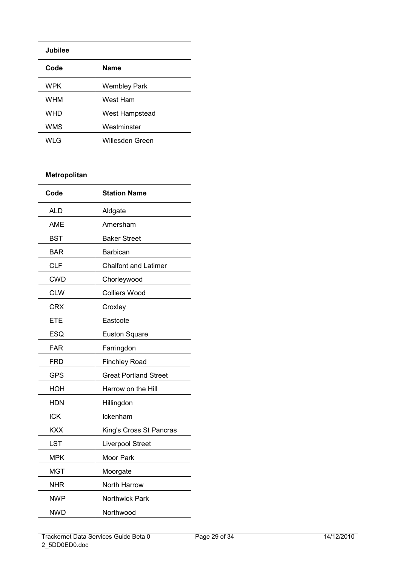| Jubilee    |                     |
|------------|---------------------|
| Code       | <b>Name</b>         |
| <b>WPK</b> | <b>Wembley Park</b> |
| <b>WHM</b> | West Ham            |
| <b>WHD</b> | West Hampstead      |
| <b>WMS</b> | Westminster         |
| WLG        | Willesden Green     |

| Metropolitan |                              |
|--------------|------------------------------|
| Code         | <b>Station Name</b>          |
| ALD          | Aldgate                      |
| <b>AME</b>   | Amersham                     |
| BST          | <b>Baker Street</b>          |
| BAR          | Barbican                     |
| <b>CLF</b>   | <b>Chalfont and Latimer</b>  |
| <b>CWD</b>   | Chorleywood                  |
| <b>CLW</b>   | <b>Colliers Wood</b>         |
| <b>CRX</b>   | Croxley                      |
| <b>ETE</b>   | Eastcote                     |
| ESQ          | <b>Euston Square</b>         |
| <b>FAR</b>   | Farringdon                   |
| FRD          | <b>Finchley Road</b>         |
| <b>GPS</b>   | <b>Great Portland Street</b> |
| HOH          | Harrow on the Hill           |
| <b>HDN</b>   | Hillingdon                   |
| ICK          | Ickenham                     |
| <b>KXX</b>   | King's Cross St Pancras      |
| LST          | <b>Liverpool Street</b>      |
| <b>MPK</b>   | Moor Park                    |
| MGT          | Moorgate                     |
| <b>NHR</b>   | North Harrow                 |
| <b>NWP</b>   | Northwick Park               |
| NWD          | Northwood                    |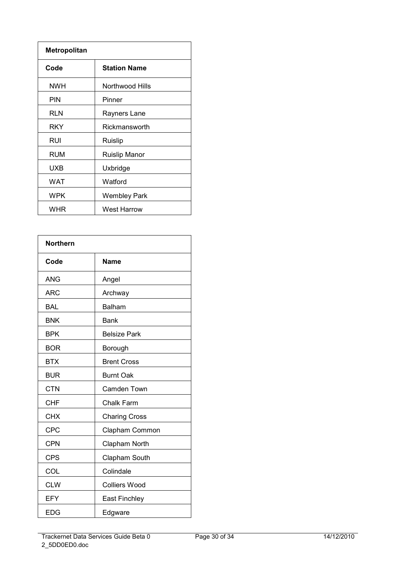| <b>Metropolitan</b> |                      |
|---------------------|----------------------|
| Code                | <b>Station Name</b>  |
| <b>NWH</b>          | Northwood Hills      |
| <b>PIN</b>          | Pinner               |
| <b>RLN</b>          | Rayners Lane         |
| RKY                 | Rickmansworth        |
| RUI                 | Ruislip              |
| RUM                 | <b>Ruislip Manor</b> |
| <b>UXB</b>          | Uxbridge             |
| WAT                 | Watford              |
| <b>WPK</b>          | <b>Wembley Park</b>  |
| WHR                 | <b>West Harrow</b>   |

| <b>Northern</b> |                      |
|-----------------|----------------------|
| Code            | Name                 |
| ANG             | Angel                |
| <b>ARC</b>      | Archway              |
| <b>BAL</b>      | <b>Balham</b>        |
| <b>BNK</b>      | <b>Bank</b>          |
| <b>BPK</b>      | <b>Belsize Park</b>  |
| <b>BOR</b>      | Borough              |
| <b>BTX</b>      | <b>Brent Cross</b>   |
| <b>BUR</b>      | <b>Burnt Oak</b>     |
| <b>CTN</b>      | Camden Town          |
| <b>CHF</b>      | <b>Chalk Farm</b>    |
| <b>CHX</b>      | <b>Charing Cross</b> |
| <b>CPC</b>      | Clapham Common       |
| <b>CPN</b>      | Clapham North        |
| <b>CPS</b>      | Clapham South        |
| COL             | Colindale            |
| <b>CLW</b>      | <b>Colliers Wood</b> |
| EFY             | <b>East Finchley</b> |
| EDG             | Edgware              |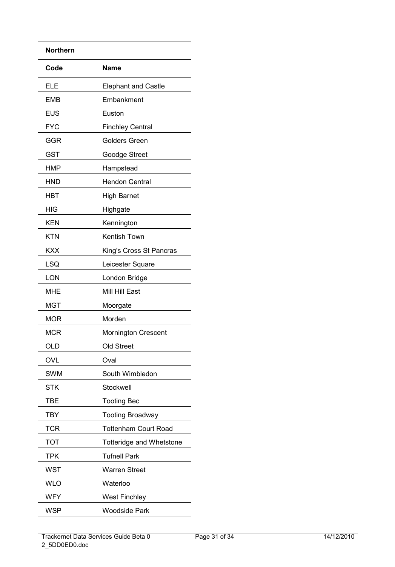| <b>Northern</b> |                             |
|-----------------|-----------------------------|
| Code            | Name                        |
| ELE             | <b>Elephant and Castle</b>  |
| <b>EMB</b>      | Embankment                  |
| <b>EUS</b>      | Euston                      |
| <b>FYC</b>      | <b>Finchley Central</b>     |
| GGR             | <b>Golders Green</b>        |
| <b>GST</b>      | Goodge Street               |
| <b>HMP</b>      | Hampstead                   |
| <b>HND</b>      | <b>Hendon Central</b>       |
| <b>HBT</b>      | <b>High Barnet</b>          |
| HIG             | Highgate                    |
| <b>KEN</b>      | Kennington                  |
| <b>KTN</b>      | Kentish Town                |
| <b>KXX</b>      | King's Cross St Pancras     |
| LSQ             | Leicester Square            |
| <b>LON</b>      | London Bridge               |
| <b>MHE</b>      | Mill Hill East              |
| <b>MGT</b>      | Moorgate                    |
| <b>MOR</b>      | Morden                      |
| <b>MCR</b>      | <b>Mornington Crescent</b>  |
| OLD             | Old Street                  |
| OVL             | Oval                        |
| <b>SWM</b>      | South Wimbledon             |
| <b>STK</b>      | Stockwell                   |
| <b>TBE</b>      | <b>Tooting Bec</b>          |
| <b>TBY</b>      | <b>Tooting Broadway</b>     |
| <b>TCR</b>      | <b>Tottenham Court Road</b> |
| <b>TOT</b>      | Totteridge and Whetstone    |
| <b>TPK</b>      | <b>Tufnell Park</b>         |
| <b>WST</b>      | <b>Warren Street</b>        |
| <b>WLO</b>      | Waterloo                    |
| <b>WFY</b>      | <b>West Finchley</b>        |
| <b>WSP</b>      | <b>Woodside Park</b>        |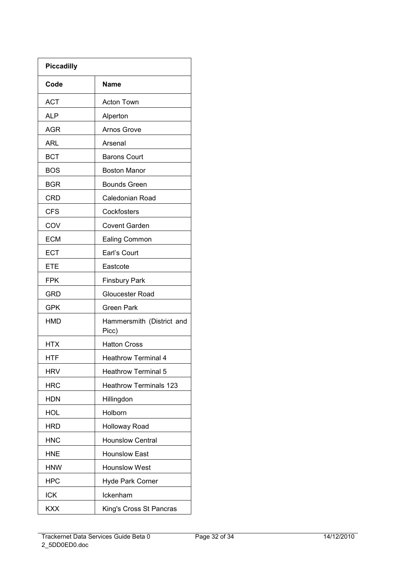| <b>Piccadilly</b> |                                    |
|-------------------|------------------------------------|
| Code              | Name                               |
| <b>ACT</b>        | Acton Town                         |
| ALP               | Alperton                           |
| AGR               | <b>Arnos Grove</b>                 |
| ARL               | Arsenal                            |
| <b>BCT</b>        | <b>Barons Court</b>                |
| <b>BOS</b>        | <b>Boston Manor</b>                |
| <b>BGR</b>        | <b>Bounds Green</b>                |
| <b>CRD</b>        | Caledonian Road                    |
| <b>CFS</b>        | Cockfosters                        |
| COV               | <b>Covent Garden</b>               |
| <b>ECM</b>        | <b>Ealing Common</b>               |
| <b>ECT</b>        | Earl's Court                       |
| ETE               | Eastcote                           |
| <b>FPK</b>        | <b>Finsbury Park</b>               |
| GRD               | Gloucester Road                    |
| <b>GPK</b>        | Green Park                         |
| <b>HMD</b>        | Hammersmith (District and<br>Picc) |
| HTX               | <b>Hatton Cross</b>                |
| HTF               | <b>Heathrow Terminal 4</b>         |
| <b>HRV</b>        | <b>Heathrow Terminal 5</b>         |
| <b>HRC</b>        | <b>Heathrow Terminals 123</b>      |
| <b>HDN</b>        | Hillingdon                         |
| <b>HOL</b>        | Holborn                            |
| <b>HRD</b>        | <b>Holloway Road</b>               |
| <b>HNC</b>        | <b>Hounslow Central</b>            |
| <b>HNE</b>        | <b>Hounslow East</b>               |
| <b>HNW</b>        | <b>Hounslow West</b>               |
| <b>HPC</b>        | Hyde Park Corner                   |
| <b>ICK</b>        | Ickenham                           |
| <b>KXX</b>        | King's Cross St Pancras            |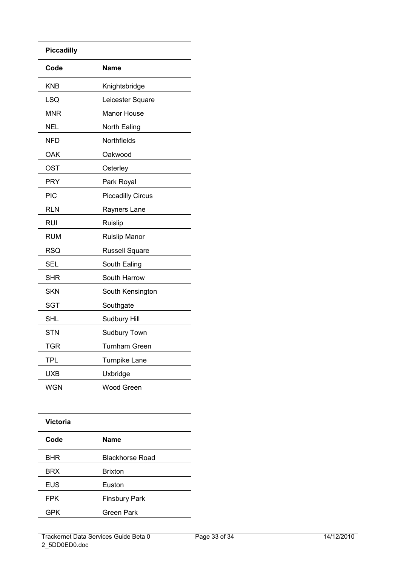| <b>Piccadilly</b> |                          |
|-------------------|--------------------------|
| Code              | <b>Name</b>              |
| KNB               | Knightsbridge            |
| <b>LSQ</b>        | Leicester Square         |
| <b>MNR</b>        | <b>Manor House</b>       |
| <b>NEL</b>        | North Ealing             |
| NFD               | Northfields              |
| <b>OAK</b>        | Oakwood                  |
| <b>OST</b>        | Osterley                 |
| <b>PRY</b>        | Park Royal               |
| PIC               | <b>Piccadilly Circus</b> |
| <b>RLN</b>        | Rayners Lane             |
| <b>RUI</b>        | Ruislip                  |
| <b>RUM</b>        | <b>Ruislip Manor</b>     |
| <b>RSQ</b>        | <b>Russell Square</b>    |
| <b>SEL</b>        | South Ealing             |
| <b>SHR</b>        | South Harrow             |
| <b>SKN</b>        | South Kensington         |
| <b>SGT</b>        | Southgate                |
| <b>SHL</b>        | Sudbury Hill             |
| <b>STN</b>        | Sudbury Town             |
| <b>TGR</b>        | <b>Turnham Green</b>     |
| <b>TPL</b>        | <b>Turnpike Lane</b>     |
| <b>UXB</b>        | Uxbridge                 |
| <b>WGN</b>        | <b>Wood Green</b>        |

| <b>Victoria</b> |                        |
|-----------------|------------------------|
| Code            | <b>Name</b>            |
| <b>BHR</b>      | <b>Blackhorse Road</b> |
| <b>BRX</b>      | <b>Brixton</b>         |
| <b>EUS</b>      | Euston                 |
| <b>FPK</b>      | <b>Finsbury Park</b>   |
| <b>GPK</b>      | <b>Green Park</b>      |